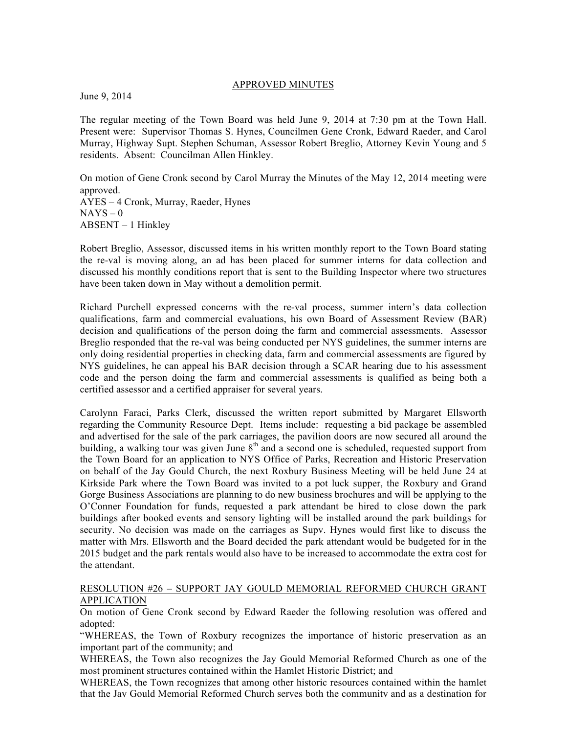## APPROVED MINUTES

June 9, 2014

The regular meeting of the Town Board was held June 9, 2014 at 7:30 pm at the Town Hall. Present were: Supervisor Thomas S. Hynes, Councilmen Gene Cronk, Edward Raeder, and Carol Murray, Highway Supt. Stephen Schuman, Assessor Robert Breglio, Attorney Kevin Young and 5 residents. Absent: Councilman Allen Hinkley.

On motion of Gene Cronk second by Carol Murray the Minutes of the May 12, 2014 meeting were approved. AYES – 4 Cronk, Murray, Raeder, Hynes  $NAYS - 0$ ABSENT – 1 Hinkley

Robert Breglio, Assessor, discussed items in his written monthly report to the Town Board stating the re-val is moving along, an ad has been placed for summer interns for data collection and discussed his monthly conditions report that is sent to the Building Inspector where two structures have been taken down in May without a demolition permit.

Richard Purchell expressed concerns with the re-val process, summer intern's data collection qualifications, farm and commercial evaluations, his own Board of Assessment Review (BAR) decision and qualifications of the person doing the farm and commercial assessments. Assessor Breglio responded that the re-val was being conducted per NYS guidelines, the summer interns are only doing residential properties in checking data, farm and commercial assessments are figured by NYS guidelines, he can appeal his BAR decision through a SCAR hearing due to his assessment code and the person doing the farm and commercial assessments is qualified as being both a certified assessor and a certified appraiser for several years.

Carolynn Faraci, Parks Clerk, discussed the written report submitted by Margaret Ellsworth regarding the Community Resource Dept. Items include: requesting a bid package be assembled and advertised for the sale of the park carriages, the pavilion doors are now secured all around the building, a walking tour was given June  $8<sup>th</sup>$  and a second one is scheduled, requested support from the Town Board for an application to NYS Office of Parks, Recreation and Historic Preservation on behalf of the Jay Gould Church, the next Roxbury Business Meeting will be held June 24 at Kirkside Park where the Town Board was invited to a pot luck supper, the Roxbury and Grand Gorge Business Associations are planning to do new business brochures and will be applying to the O'Conner Foundation for funds, requested a park attendant be hired to close down the park buildings after booked events and sensory lighting will be installed around the park buildings for security. No decision was made on the carriages as Supv. Hynes would first like to discuss the matter with Mrs. Ellsworth and the Board decided the park attendant would be budgeted for in the 2015 budget and the park rentals would also have to be increased to accommodate the extra cost for the attendant.

## RESOLUTION #26 – SUPPORT JAY GOULD MEMORIAL REFORMED CHURCH GRANT APPLICATION

On motion of Gene Cronk second by Edward Raeder the following resolution was offered and adopted:

"WHEREAS, the Town of Roxbury recognizes the importance of historic preservation as an important part of the community; and

WHEREAS, the Town also recognizes the Jay Gould Memorial Reformed Church as one of the most prominent structures contained within the Hamlet Historic District; and

WHEREAS, the Town recognizes that among other historic resources contained within the hamlet that the Jay Gould Memorial Reformed Church serves both the community and as a destination for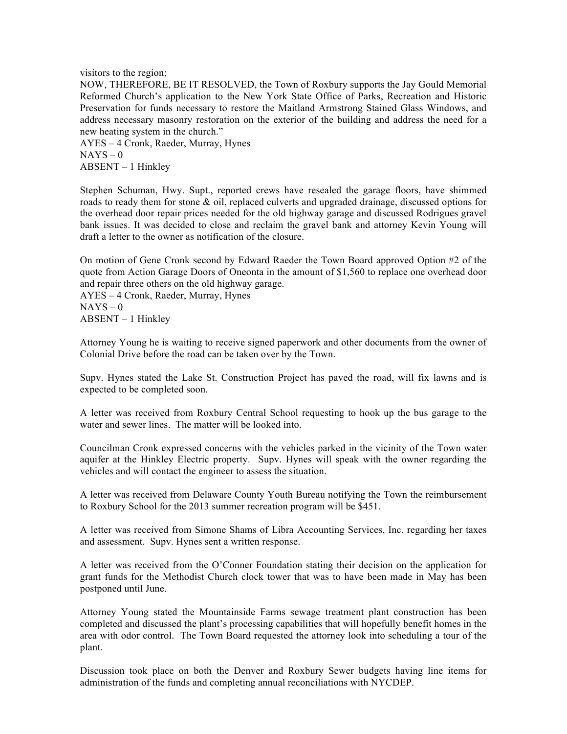visitors to the region;

NOW, THEREFORE, BE IT RESOLVED, the Town of Roxbury supports the Jay Gould Memorial Reformed Church's application to the New York State Office of Parks, Recreation and Historic Preservation for funds necessary to restore the Maitland Armstrong Stained Glass Windows, and address necessary masonry restoration on the exterior of the building and address the need for a new heating system in the church."

AYES – 4 Cronk, Raeder, Murray, Hynes  $NAYS - 0$ ABSENT – 1 Hinkley

Stephen Schuman, Hwy. Supt., reported crews have resealed the garage floors, have shimmed roads to ready them for stone & oil, replaced culverts and upgraded drainage, discussed options for the overhead door repair prices needed for the old highway garage and discussed Rodrigues gravel bank issues. It was decided to close and reclaim the gravel bank and attorney Kevin Young will draft a letter to the owner as notification of the closure.

On motion of Gene Cronk second by Edward Raeder the Town Board approved Option #2 of the quote from Action Garage Doors of Oneonta in the amount of \$1,560 to replace one overhead door and repair three others on the old highway garage.

AYES – 4 Cronk, Raeder, Murray, Hynes  $NAYS - 0$ ABSENT – 1 Hinkley

Attorney Young he is waiting to receive signed paperwork and other documents from the owner of Colonial Drive before the road can be taken over by the Town.

Supv. Hynes stated the Lake St. Construction Project has paved the road, will fix lawns and is expected to be completed soon.

A letter was received from Roxbury Central School requesting to hook up the bus garage to the water and sewer lines. The matter will be looked into.

Councilman Cronk expressed concerns with the vehicles parked in the vicinity of the Town water aquifer at the Hinkley Electric property. Supv. Hynes will speak with the owner regarding the vehicles and will contact the engineer to assess the situation.

A letter was received from Delaware County Youth Bureau notifying the Town the reimbursement to Roxbury School for the 2013 summer recreation program will be \$451.

A letter was received from Simone Shams of Libra Accounting Services, Inc. regarding her taxes and assessment. Supv. Hynes sent a written response.

A letter was received from the O'Conner Foundation stating their decision on the application for grant funds for the Methodist Church clock tower that was to have been made in May has been postponed until June.

Attorney Young stated the Mountainside Farms sewage treatment plant construction has been completed and discussed the plant's processing capabilities that will hopefully benefit homes in the area with odor control. The Town Board requested the attorney look into scheduling a tour of the plant.

Discussion took place on both the Denver and Roxbury Sewer budgets having line items for administration of the funds and completing annual reconciliations with NYCDEP.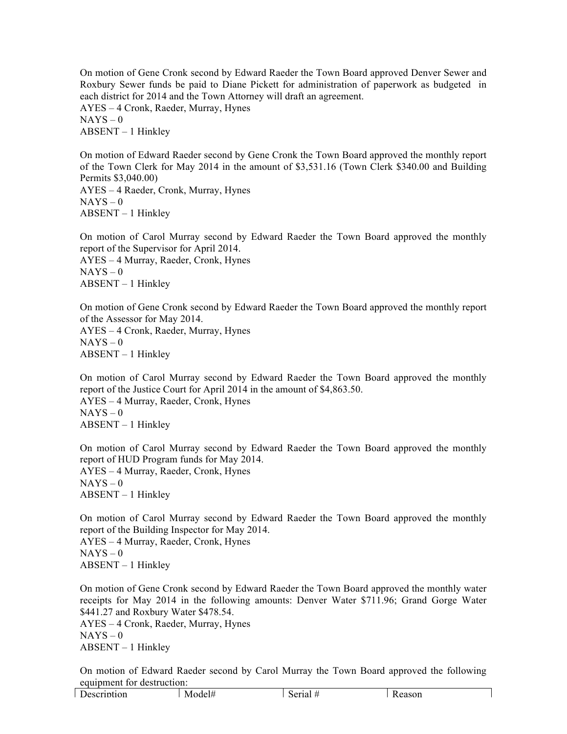On motion of Gene Cronk second by Edward Raeder the Town Board approved Denver Sewer and Roxbury Sewer funds be paid to Diane Pickett for administration of paperwork as budgeted in each district for 2014 and the Town Attorney will draft an agreement.

AYES – 4 Cronk, Raeder, Murray, Hynes  $NAYS - 0$ ABSENT – 1 Hinkley

On motion of Edward Raeder second by Gene Cronk the Town Board approved the monthly report of the Town Clerk for May 2014 in the amount of \$3,531.16 (Town Clerk \$340.00 and Building Permits \$3,040.00) AYES – 4 Raeder, Cronk, Murray, Hynes  $NAYS - 0$ ABSENT – 1 Hinkley

On motion of Carol Murray second by Edward Raeder the Town Board approved the monthly report of the Supervisor for April 2014. AYES – 4 Murray, Raeder, Cronk, Hynes  $NAYS - 0$ ABSENT – 1 Hinkley

On motion of Gene Cronk second by Edward Raeder the Town Board approved the monthly report of the Assessor for May 2014. AYES – 4 Cronk, Raeder, Murray, Hynes  $NAYS - 0$ ABSENT – 1 Hinkley

On motion of Carol Murray second by Edward Raeder the Town Board approved the monthly report of the Justice Court for April 2014 in the amount of \$4,863.50. AYES – 4 Murray, Raeder, Cronk, Hynes  $NAYS - 0$ ABSENT – 1 Hinkley

On motion of Carol Murray second by Edward Raeder the Town Board approved the monthly report of HUD Program funds for May 2014. AYES – 4 Murray, Raeder, Cronk, Hynes  $NAYS - 0$ ABSENT – 1 Hinkley

On motion of Carol Murray second by Edward Raeder the Town Board approved the monthly report of the Building Inspector for May 2014. AYES – 4 Murray, Raeder, Cronk, Hynes  $NAYS - 0$ ABSENT – 1 Hinkley

On motion of Gene Cronk second by Edward Raeder the Town Board approved the monthly water receipts for May 2014 in the following amounts: Denver Water \$711.96; Grand Gorge Water \$441.27 and Roxbury Water \$478.54. AYES – 4 Cronk, Raeder, Murray, Hynes  $NAYS - 0$ ABSENT – 1 Hinkley

On motion of Edward Raeder second by Carol Murray the Town Board approved the following equipment for destruction: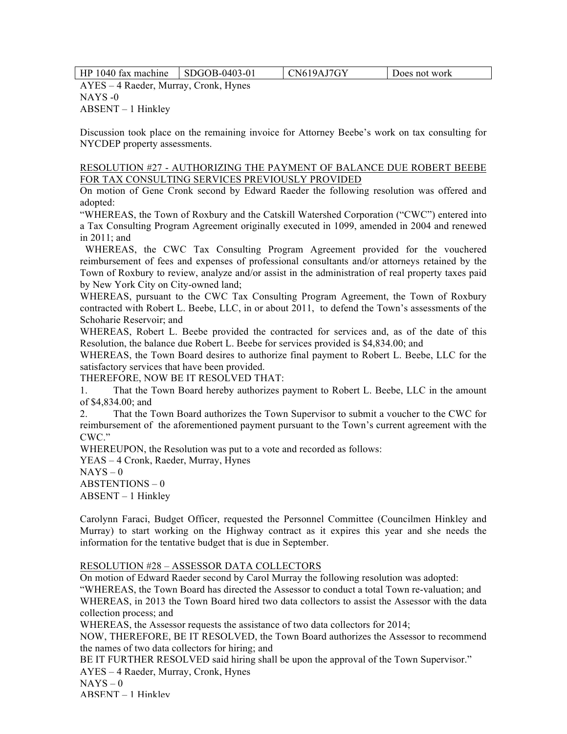HP 1040 fax machine SDGOB-0403-01 CN619AJ7GY Does not work

AYES – 4 Raeder, Murray, Cronk, Hynes NAYS -0 ABSENT – 1 Hinkley

Discussion took place on the remaining invoice for Attorney Beebe's work on tax consulting for NYCDEP property assessments.

## RESOLUTION #27 - AUTHORIZING THE PAYMENT OF BALANCE DUE ROBERT BEEBE FOR TAX CONSULTING SERVICES PREVIOUSLY PROVIDED

On motion of Gene Cronk second by Edward Raeder the following resolution was offered and adopted:

"WHEREAS, the Town of Roxbury and the Catskill Watershed Corporation ("CWC") entered into a Tax Consulting Program Agreement originally executed in 1099, amended in 2004 and renewed in 2011; and

 WHEREAS, the CWC Tax Consulting Program Agreement provided for the vouchered reimbursement of fees and expenses of professional consultants and/or attorneys retained by the Town of Roxbury to review, analyze and/or assist in the administration of real property taxes paid by New York City on City-owned land;

WHEREAS, pursuant to the CWC Tax Consulting Program Agreement, the Town of Roxbury contracted with Robert L. Beebe, LLC, in or about 2011, to defend the Town's assessments of the Schoharie Reservoir; and

WHEREAS, Robert L. Beebe provided the contracted for services and, as of the date of this Resolution, the balance due Robert L. Beebe for services provided is \$4,834.00; and

WHEREAS, the Town Board desires to authorize final payment to Robert L. Beebe, LLC for the satisfactory services that have been provided.

THEREFORE, NOW BE IT RESOLVED THAT:

1. That the Town Board hereby authorizes payment to Robert L. Beebe, LLC in the amount of \$4,834.00; and

2. That the Town Board authorizes the Town Supervisor to submit a voucher to the CWC for reimbursement of the aforementioned payment pursuant to the Town's current agreement with the CWC."

WHEREUPON, the Resolution was put to a vote and recorded as follows:

YEAS – 4 Cronk, Raeder, Murray, Hynes

 $NAYS - 0$ 

ABSTENTIONS – 0

ABSENT – 1 Hinkley

Carolynn Faraci, Budget Officer, requested the Personnel Committee (Councilmen Hinkley and Murray) to start working on the Highway contract as it expires this year and she needs the information for the tentative budget that is due in September.

## RESOLUTION #28 – ASSESSOR DATA COLLECTORS

On motion of Edward Raeder second by Carol Murray the following resolution was adopted:

"WHEREAS, the Town Board has directed the Assessor to conduct a total Town re-valuation; and WHEREAS, in 2013 the Town Board hired two data collectors to assist the Assessor with the data collection process; and

WHEREAS, the Assessor requests the assistance of two data collectors for 2014;

NOW, THEREFORE, BE IT RESOLVED, the Town Board authorizes the Assessor to recommend the names of two data collectors for hiring; and

BE IT FURTHER RESOLVED said hiring shall be upon the approval of the Town Supervisor." AYES – 4 Raeder, Murray, Cronk, Hynes

 $NAYS - 0$ 

ABSENT – 1 Hinkley